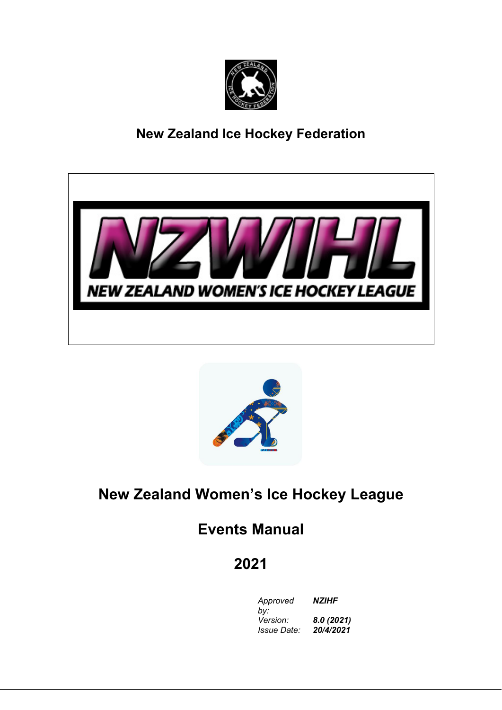

# **New Zealand Ice Hockey Federation**





# **New Zealand Women's Ice Hockey League**

# **Events Manual**

# **2021**

*Approved NZIHF by: Version: 8.0 (2021) Issue Date: 20/4/2021*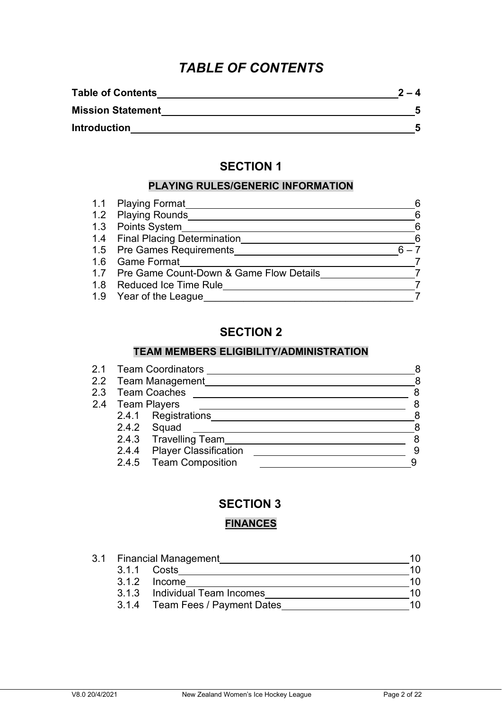## *TABLE OF CONTENTS*

| <b>Table of Contents</b> | $2 -$ |
|--------------------------|-------|
| <b>Mission Statement</b> |       |
| <b>Introduction</b>      |       |

### **SECTION 1**

### **PLAYING RULES/GENERIC INFORMATION**

| 1.1 Playing Format                          | 6  |
|---------------------------------------------|----|
| 1.2 Playing Rounds                          | -6 |
| 1.3 Points System                           | -6 |
| 1.4 Final Placing Determination             | -6 |
| 1.5 Pre Games Requirements                  |    |
| 1.6 Game Format                             |    |
| 1.7 Pre Game Count-Down & Game Flow Details |    |
| 1.8 Reduced Ice Time Rule                   |    |
| 1.9 Year of the League                      |    |

### **SECTION 2**

### **TEAM MEMBERS ELIGIBILITY/ADMINISTRATION**

| 2.1 Team Coordinators |                              |   |
|-----------------------|------------------------------|---|
| 2.2 Team Management   |                              |   |
|                       | 2.3 Team Coaches             | 8 |
|                       | 2.4 Team Players             | 8 |
|                       | 2.4.1 Registrations          | 8 |
|                       | 2.4.2 Squad                  | 8 |
|                       | 2.4.3 Travelling Team        | 8 |
| 2.4.4                 | <b>Player Classification</b> | 9 |
| 2.4.5                 | <b>Team Composition</b>      |   |
|                       |                              |   |

### **SECTION 3**

### **FINANCES**

|  | 3.1 Financial Management        | 10 |
|--|---------------------------------|----|
|  | 3.1.1 Costs                     | 10 |
|  | 3.1.2 Income                    | 10 |
|  | 3.1.3 Individual Team Incomes   | 10 |
|  | 3.1.4 Team Fees / Payment Dates | 10 |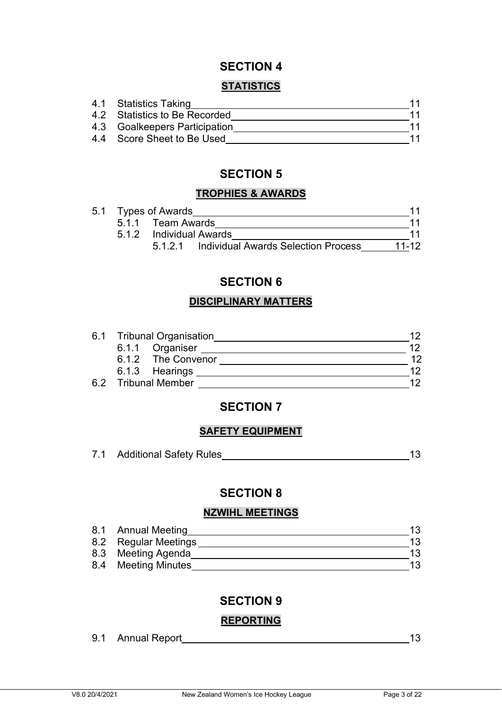### **STATISTICS**

| 4.1 Statistics Taking         |    |
|-------------------------------|----|
| 4.2 Statistics to Be Recorded | 11 |
| 4.3 Goalkeepers Participation | 11 |
| 4.4 Score Sheet to Be Used    | 11 |

### **SECTION 5**

### **TROPHIES & AWARDS**

|  | 5.1 Types of Awards |                                             |       |
|--|---------------------|---------------------------------------------|-------|
|  | 5.1.1 Team Awards   |                                             |       |
|  |                     | 5.1.2 Individual Awards                     |       |
|  |                     | 5.1.2.1 Individual Awards Selection Process | 11-12 |

### **SECTION 6**

### **DISCIPLINARY MATTERS**

| 6.1 Tribunal Organisation |                     |    |
|---------------------------|---------------------|----|
|                           | 6.1.1 Organiser     | 12 |
|                           | 6.1.2 The Convenor  | 12 |
|                           | 6.1.3 Hearings      | 12 |
|                           | 6.2 Tribunal Member | ィク |

### **SECTION 7**

### **SAFETY EQUIPMENT**

| <b>Additional Safety Rules</b> |  |
|--------------------------------|--|
|                                |  |

### **SECTION 8**

### **NZWIHL MEETINGS**

| 8.1 | Annual Meeting       |    |
|-----|----------------------|----|
|     | 8.2 Regular Meetings | 13 |
|     | 8.3 Meeting Agenda   | 13 |
|     | 8.4 Meeting Minutes  | 13 |

### **SECTION 9**

### **REPORTING**

9.1 Annual Report 13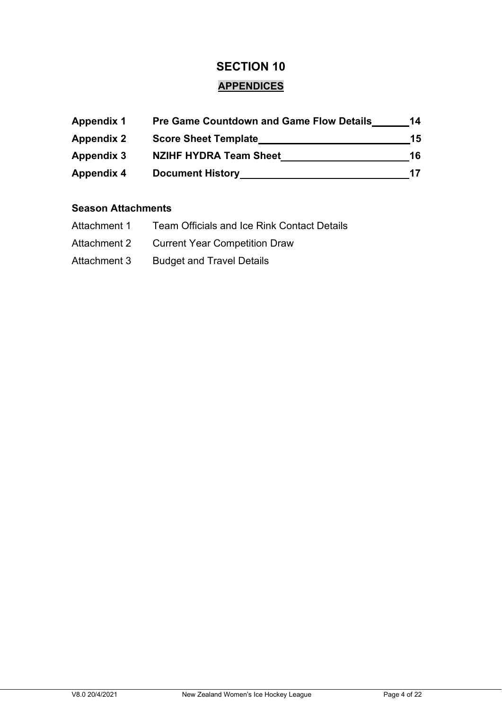### **APPENDICES**

| <b>Appendix 1</b> | <b>Pre Game Countdown and Game Flow Details</b> | 14 |
|-------------------|-------------------------------------------------|----|
| <b>Appendix 2</b> | <b>Score Sheet Template</b>                     | 15 |
| <b>Appendix 3</b> | <b>NZIHF HYDRA Team Sheet</b>                   | 16 |
| <b>Appendix 4</b> | <b>Document History</b>                         | 17 |

### **Season Attachments**

| Attachment 1 | <b>Team Officials and Ice Rink Contact Details</b> |
|--------------|----------------------------------------------------|
| Attachment 2 | <b>Current Year Competition Draw</b>               |
| Attachment 3 | <b>Budget and Travel Details</b>                   |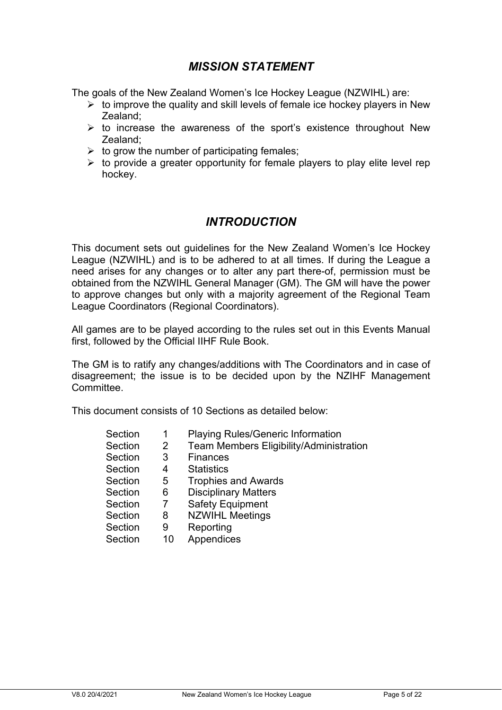### *MISSION STATEMENT*

The goals of the New Zealand Women's Ice Hockey League (NZWIHL) are:

- $\triangleright$  to improve the quality and skill levels of female ice hockey players in New Zealand;
- $\triangleright$  to increase the awareness of the sport's existence throughout New Zealand;
- $\triangleright$  to grow the number of participating females;
- $\triangleright$  to provide a greater opportunity for female players to play elite level rep hockey.

### *INTRODUCTION*

This document sets out guidelines for the New Zealand Women's Ice Hockey League (NZWIHL) and is to be adhered to at all times. If during the League a need arises for any changes or to alter any part there-of, permission must be obtained from the NZWIHL General Manager (GM). The GM will have the power to approve changes but only with a majority agreement of the Regional Team League Coordinators (Regional Coordinators).

All games are to be played according to the rules set out in this Events Manual first, followed by the Official IIHF Rule Book.

The GM is to ratify any changes/additions with The Coordinators and in case of disagreement; the issue is to be decided upon by the NZIHF Management Committee.

This document consists of 10 Sections as detailed below:

| Section | 1              | <b>Playing Rules/Generic Information</b>       |
|---------|----------------|------------------------------------------------|
| Section | $\overline{2}$ | <b>Team Members Eligibility/Administration</b> |
| Section | 3              | <b>Finances</b>                                |
| Section | 4              | <b>Statistics</b>                              |
| Section | 5              | <b>Trophies and Awards</b>                     |
| Section | 6              | <b>Disciplinary Matters</b>                    |
| Section | 7              | <b>Safety Equipment</b>                        |
| Section | 8              | <b>NZWIHL Meetings</b>                         |
| Section | 9              | Reporting                                      |
| Section | 10             | Appendices                                     |
|         |                |                                                |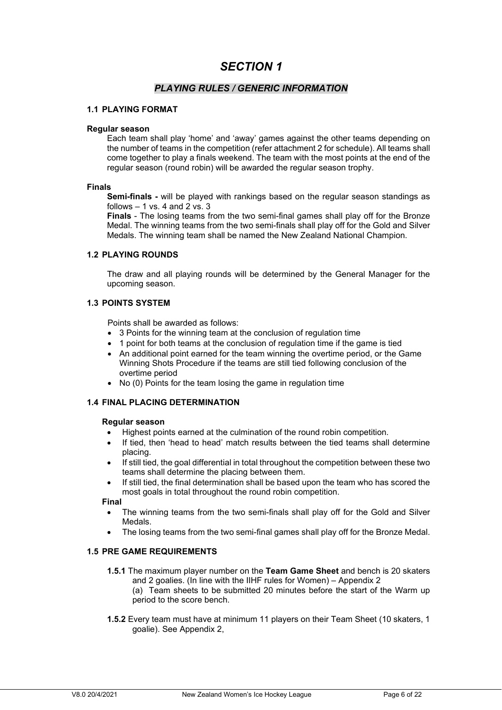#### *PLAYING RULES / GENERIC INFORMATION*

#### **1.1 PLAYING FORMAT**

#### **Regular season**

Each team shall play 'home' and 'away' games against the other teams depending on the number of teams in the competition (refer attachment 2 for schedule). All teams shall come together to play a finals weekend. The team with the most points at the end of the regular season (round robin) will be awarded the regular season trophy.

#### **Finals**

**Semi-finals -** will be played with rankings based on the regular season standings as follows  $-1$  vs. 4 and 2 vs. 3

**Finals** - The losing teams from the two semi-final games shall play off for the Bronze Medal. The winning teams from the two semi-finals shall play off for the Gold and Silver Medals. The winning team shall be named the New Zealand National Champion.

#### **1.2 PLAYING ROUNDS**

The draw and all playing rounds will be determined by the General Manager for the upcoming season.

#### **1.3 POINTS SYSTEM**

Points shall be awarded as follows:

- 3 Points for the winning team at the conclusion of regulation time
- 1 point for both teams at the conclusion of regulation time if the game is tied
- An additional point earned for the team winning the overtime period, or the Game Winning Shots Procedure if the teams are still tied following conclusion of the overtime period
- No (0) Points for the team losing the game in regulation time

#### **1.4 FINAL PLACING DETERMINATION**

#### **Regular season**

- Highest points earned at the culmination of the round robin competition.
- If tied, then 'head to head' match results between the tied teams shall determine placing.
- If still tied, the goal differential in total throughout the competition between these two teams shall determine the placing between them.
- If still tied, the final determination shall be based upon the team who has scored the most goals in total throughout the round robin competition.

#### **Final**

- The winning teams from the two semi-finals shall play off for the Gold and Silver Medals.
- The losing teams from the two semi-final games shall play off for the Bronze Medal.

#### **1.5 PRE GAME REQUIREMENTS**

- **1.5.1** The maximum player number on the **Team Game Sheet** and bench is 20 skaters and 2 goalies. (In line with the IIHF rules for Women) – Appendix 2 (a) Team sheets to be submitted 20 minutes before the start of the Warm up period to the score bench.
- **1.5.2** Every team must have at minimum 11 players on their Team Sheet (10 skaters, 1 goalie). See Appendix 2,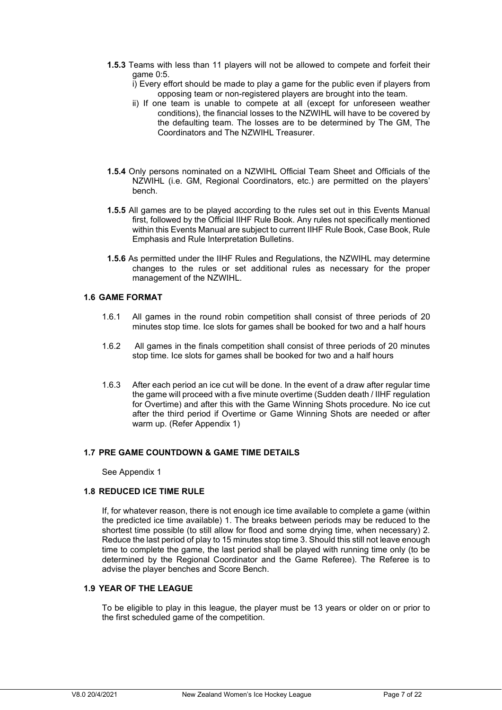- **1.5.3** Teams with less than 11 players will not be allowed to compete and forfeit their game 0:5.
	- i) Every effort should be made to play a game for the public even if players from opposing team or non-registered players are brought into the team.
	- ii) If one team is unable to compete at all (except for unforeseen weather conditions), the financial losses to the NZWIHL will have to be covered by the defaulting team. The losses are to be determined by The GM, The Coordinators and The NZWIHL Treasurer.
- **1.5.4** Only persons nominated on a NZWIHL Official Team Sheet and Officials of the NZWIHL (i.e. GM, Regional Coordinators, etc.) are permitted on the players' bench.
- **1.5.5** All games are to be played according to the rules set out in this Events Manual first, followed by the Official IIHF Rule Book. Any rules not specifically mentioned within this Events Manual are subject to current IIHF Rule Book, Case Book, Rule Emphasis and Rule Interpretation Bulletins.
- **1.5.6** As permitted under the IIHF Rules and Regulations, the NZWIHL may determine changes to the rules or set additional rules as necessary for the proper management of the NZWIHL.

#### **1.6 GAME FORMAT**

- 1.6.1 All games in the round robin competition shall consist of three periods of 20 minutes stop time. Ice slots for games shall be booked for two and a half hours
- 1.6.2 All games in the finals competition shall consist of three periods of 20 minutes stop time. Ice slots for games shall be booked for two and a half hours
- 1.6.3 After each period an ice cut will be done. In the event of a draw after regular time the game will proceed with a five minute overtime (Sudden death / IIHF regulation for Overtime) and after this with the Game Winning Shots procedure. No ice cut after the third period if Overtime or Game Winning Shots are needed or after warm up. (Refer Appendix 1)

#### **1.7 PRE GAME COUNTDOWN & GAME TIME DETAILS**

See Appendix 1

#### **1.8 REDUCED ICE TIME RULE**

If, for whatever reason, there is not enough ice time available to complete a game (within the predicted ice time available) 1. The breaks between periods may be reduced to the shortest time possible (to still allow for flood and some drying time, when necessary) 2. Reduce the last period of play to 15 minutes stop time 3. Should this still not leave enough time to complete the game, the last period shall be played with running time only (to be determined by the Regional Coordinator and the Game Referee). The Referee is to advise the player benches and Score Bench.

#### **1.9 YEAR OF THE LEAGUE**

To be eligible to play in this league, the player must be 13 years or older on or prior to the first scheduled game of the competition.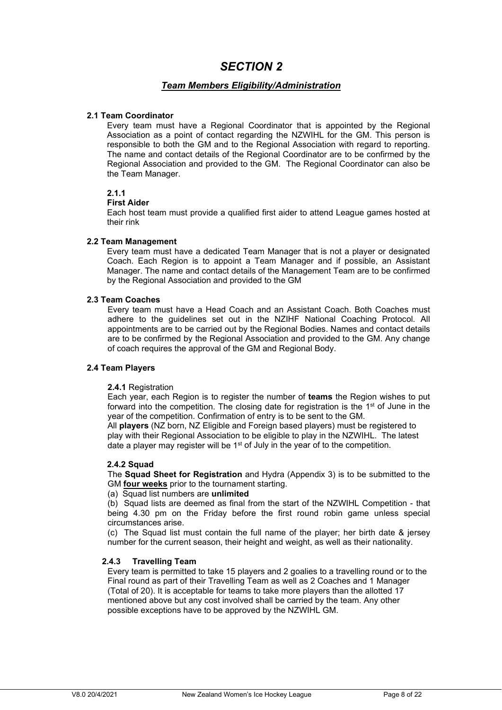#### *Team Members Eligibility/Administration*

#### **2.1 Team Coordinator**

Every team must have a Regional Coordinator that is appointed by the Regional Association as a point of contact regarding the NZWIHL for the GM. This person is responsible to both the GM and to the Regional Association with regard to reporting. The name and contact details of the Regional Coordinator are to be confirmed by the Regional Association and provided to the GM. The Regional Coordinator can also be the Team Manager.

#### **2.1.1**

#### **First Aider**

Each host team must provide a qualified first aider to attend League games hosted at their rink

#### **2.2 Team Management**

Every team must have a dedicated Team Manager that is not a player or designated Coach. Each Region is to appoint a Team Manager and if possible, an Assistant Manager. The name and contact details of the Management Team are to be confirmed by the Regional Association and provided to the GM

#### **2.3 Team Coaches**

Every team must have a Head Coach and an Assistant Coach. Both Coaches must adhere to the guidelines set out in the NZIHF National Coaching Protocol. All appointments are to be carried out by the Regional Bodies. Names and contact details are to be confirmed by the Regional Association and provided to the GM. Any change of coach requires the approval of the GM and Regional Body.

#### **2.4 Team Players**

#### **2.4.1** Registration

Each year, each Region is to register the number of **teams** the Region wishes to put forward into the competition. The closing date for registration is the  $1<sup>st</sup>$  of June in the year of the competition. Confirmation of entry is to be sent to the GM.

All **players** (NZ born, NZ Eligible and Foreign based players) must be registered to play with their Regional Association to be eligible to play in the NZWIHL. The latest date a player may register will be 1<sup>st</sup> of July in the year of to the competition.

#### **2.4.2 Squad**

The **Squad Sheet for Registration** and Hydra (Appendix 3) is to be submitted to the GM **four weeks** prior to the tournament starting.

#### (a) Squad list numbers are **unlimited**

(b) Squad lists are deemed as final from the start of the NZWIHL Competition - that being 4.30 pm on the Friday before the first round robin game unless special circumstances arise.

(c) The Squad list must contain the full name of the player; her birth date & jersey number for the current season, their height and weight, as well as their nationality.

#### **2.4.3 Travelling Team**

Every team is permitted to take 15 players and 2 goalies to a travelling round or to the Final round as part of their Travelling Team as well as 2 Coaches and 1 Manager (Total of 20). It is acceptable for teams to take more players than the allotted 17 mentioned above but any cost involved shall be carried by the team. Any other possible exceptions have to be approved by the NZWIHL GM.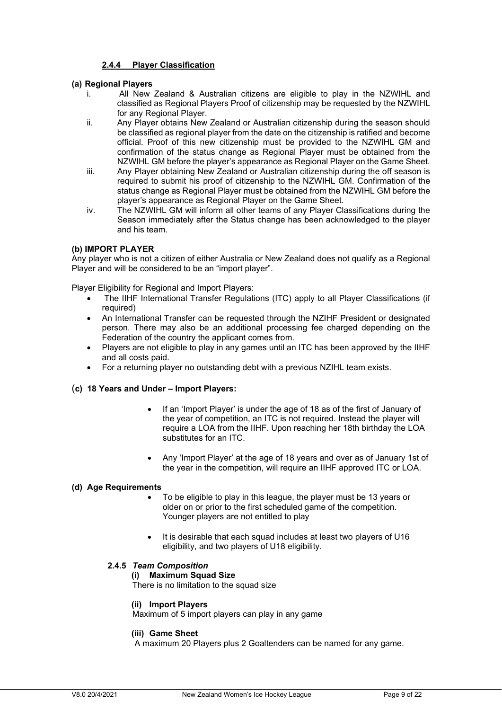#### **2.4.4 Player Classification**

#### **(a) Regional Players**

- All New Zealand & Australian citizens are eligible to play in the NZWIHL and classified as Regional Players Proof of citizenship may be requested by the NZWIHL for any Regional Player.
- ii. Any Player obtains New Zealand or Australian citizenship during the season should be classified as regional player from the date on the citizenship is ratified and become official. Proof of this new citizenship must be provided to the NZWIHL GM and confirmation of the status change as Regional Player must be obtained from the NZWIHL GM before the player's appearance as Regional Player on the Game Sheet.
- iii. Any Player obtaining New Zealand or Australian citizenship during the off season is required to submit his proof of citizenship to the NZWIHL GM. Confirmation of the status change as Regional Player must be obtained from the NZWIHL GM before the player's appearance as Regional Player on the Game Sheet.
- iv. The NZWIHL GM will inform all other teams of any Player Classifications during the Season immediately after the Status change has been acknowledged to the player and his team.

#### **(b) IMPORT PLAYER**

Any player who is not a citizen of either Australia or New Zealand does not qualify as a Regional Player and will be considered to be an "import player".

Player Eligibility for Regional and Import Players:

- The IIHF International Transfer Regulations (ITC) apply to all Player Classifications (if required)
- An International Transfer can be requested through the NZIHF President or designated person. There may also be an additional processing fee charged depending on the Federation of the country the applicant comes from.
- Players are not eligible to play in any games until an ITC has been approved by the IIHF and all costs paid.
- For a returning player no outstanding debt with a previous NZIHL team exists.

#### (**c) 18 Years and Under – Import Players:**

- If an 'Import Player' is under the age of 18 as of the first of January of the year of competition, an ITC is not required. Instead the player will require a LOA from the IIHF. Upon reaching her 18th birthday the LOA substitutes for an ITC.
- Any 'Import Player' at the age of 18 years and over as of January 1st of the year in the competition, will require an IIHF approved ITC or LOA.

#### **(d) Age Requirements**

- To be eligible to play in this league, the player must be 13 years or older on or prior to the first scheduled game of the competition. Younger players are not entitled to play
- It is desirable that each squad includes at least two players of U16 eligibility, and two players of U18 eligibility.

#### **2.4.5** *Team Composition*

#### **(i) Maximum Squad Size**

There is no limitation to the squad size

#### **(ii) Import Players**

Maximum of 5 import players can play in any game

#### **(iii) Game Sheet**

A maximum 20 Players plus 2 Goaltenders can be named for any game.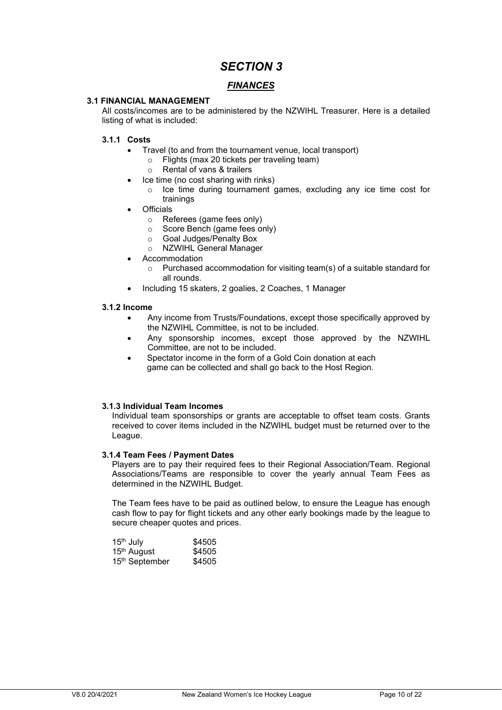#### *FINANCES*

#### **3.1 FINANCIAL MANAGEMENT**

All costs/incomes are to be administered by the NZWIHL Treasurer. Here is a detailed listing of what is included:

#### **3.1.1 Costs**

- Travel (to and from the tournament venue, local transport)
	- o Flights (max 20 tickets per traveling team)
	- o Rental of vans & trailers
- Ice time (no cost sharing with rinks)
	- o Ice time during tournament games, excluding any ice time cost for trainings
- Officials
	- o Referees (game fees only)
	- o Score Bench (game fees only)
	- o Goal Judges/Penalty Box
	- o NZWIHL General Manager
- **Accommodation** 
	- o Purchased accommodation for visiting team(s) of a suitable standard for all rounds.
- Including 15 skaters, 2 goalies, 2 Coaches, 1 Manager

#### **3.1.2 Income**

- Any income from Trusts/Foundations, except those specifically approved by the NZWIHL Committee, is not to be included.
- Any sponsorship incomes, except those approved by the NZWIHL Committee, are not to be included.
- Spectator income in the form of a Gold Coin donation at each game can be collected and shall go back to the Host Region.

#### **3.1.3 Individual Team Incomes**

Individual team sponsorships or grants are acceptable to offset team costs. Grants received to cover items included in the NZWIHL budget must be returned over to the League.

#### **3.1.4 Team Fees / Payment Dates**

Players are to pay their required fees to their Regional Association/Team. Regional Associations/Teams are responsible to cover the yearly annual Team Fees as determined in the NZWIHL Budget.

The Team fees have to be paid as outlined below, to ensure the League has enough cash flow to pay for flight tickets and any other early bookings made by the league to secure cheaper quotes and prices.

| 15 <sup>th</sup> July   | \$4505 |
|-------------------------|--------|
| 15 <sup>th</sup> August | \$4505 |
| 15th September          | \$4505 |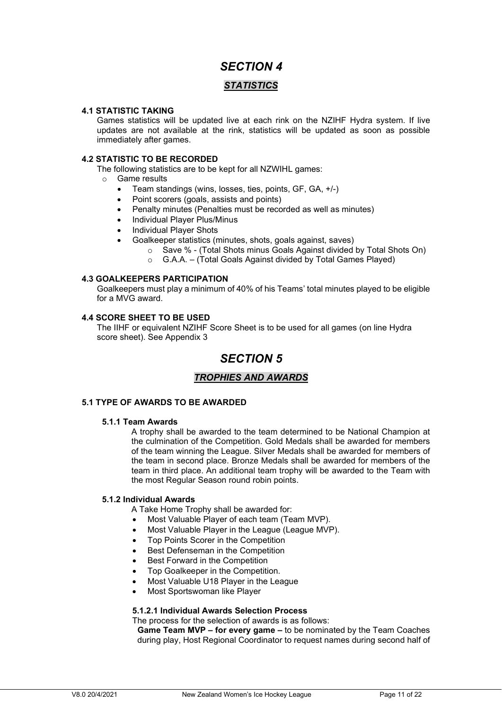#### *STATISTICS*

#### **4.1 STATISTIC TAKING**

Games statistics will be updated live at each rink on the NZIHF Hydra system. If live updates are not available at the rink, statistics will be updated as soon as possible immediately after games.

#### **4.2 STATISTIC TO BE RECORDED**

The following statistics are to be kept for all NZWIHL games:

- o Game results
	- Team standings (wins, losses, ties, points, GF, GA, +/-)
	- Point scorers (goals, assists and points)
	- Penalty minutes (Penalties must be recorded as well as minutes)
	- Individual Player Plus/Minus
	- Individual Player Shots
	- Goalkeeper statistics (minutes, shots, goals against, saves)
		- o Save % (Total Shots minus Goals Against divided by Total Shots On)
		- o G.A.A. (Total Goals Against divided by Total Games Played)

#### **4.3 GOALKEEPERS PARTICIPATION**

Goalkeepers must play a minimum of 40% of his Teams' total minutes played to be eligible for a MVG award.

#### **4.4 SCORE SHEET TO BE USED**

The IIHF or equivalent NZIHF Score Sheet is to be used for all games (on line Hydra score sheet). See Appendix 3

### *SECTION 5*

#### *TROPHIES AND AWARDS*

#### **5.1 TYPE OF AWARDS TO BE AWARDED**

#### **5.1.1 Team Awards**

A trophy shall be awarded to the team determined to be National Champion at the culmination of the Competition. Gold Medals shall be awarded for members of the team winning the League. Silver Medals shall be awarded for members of the team in second place. Bronze Medals shall be awarded for members of the team in third place. An additional team trophy will be awarded to the Team with the most Regular Season round robin points.

#### **5.1.2 Individual Awards**

A Take Home Trophy shall be awarded for:

- Most Valuable Player of each team (Team MVP).
- Most Valuable Player in the League (League MVP).
- Top Points Scorer in the Competition
- Best Defenseman in the Competition
- Best Forward in the Competition
- Top Goalkeeper in the Competition.
- Most Valuable U18 Player in the League
- Most Sportswoman like Player

#### **5.1.2.1 Individual Awards Selection Process**

The process for the selection of awards is as follows:

**Game Team MVP – for every game –** to be nominated by the Team Coaches during play, Host Regional Coordinator to request names during second half of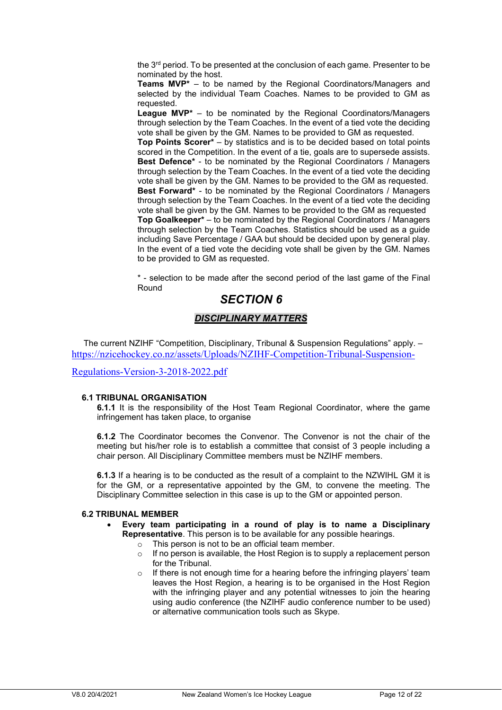the 3<sup>rd</sup> period. To be presented at the conclusion of each game. Presenter to be nominated by the host.

**Teams MVP\*** – to be named by the Regional Coordinators/Managers and selected by the individual Team Coaches. Names to be provided to GM as requested.

**League MVP\*** – to be nominated by the Regional Coordinators/Managers through selection by the Team Coaches. In the event of a tied vote the deciding vote shall be given by the GM. Names to be provided to GM as requested. **Top Points Scorer\*** – by statistics and is to be decided based on total points scored in the Competition. In the event of a tie, goals are to supersede assists. **Best Defence\*** - to be nominated by the Regional Coordinators / Managers through selection by the Team Coaches. In the event of a tied vote the deciding vote shall be given by the GM. Names to be provided to the GM as requested. **Best Forward\*** - to be nominated by the Regional Coordinators / Managers through selection by the Team Coaches. In the event of a tied vote the deciding vote shall be given by the GM. Names to be provided to the GM as requested **Top Goalkeeper\*** – to be nominated by the Regional Coordinators / Managers through selection by the Team Coaches. Statistics should be used as a guide including Save Percentage / GAA but should be decided upon by general play. In the event of a tied vote the deciding vote shall be given by the GM. Names to be provided to GM as requested.

\* - selection to be made after the second period of the last game of the Final Round

### *SECTION 6*

#### *DISCIPLINARY MATTERS*

The current NZIHF "Competition, Disciplinary, Tribunal & Suspension Regulations" apply. – [https://nzicehockey.co.nz/assets/Uploads/NZIHF-Competition-Tribunal-Suspension-](https://nzicehockey.co.nz/assets/Uploads/NZIHF-Competition-Tribunal-Suspension-Regulations-Version-3-2018-2022.pdf)

[Regulations-Version-3-2018-2022.pdf](https://nzicehockey.co.nz/assets/Uploads/NZIHF-Competition-Tribunal-Suspension-Regulations-Version-3-2018-2022.pdf)

#### **6.1 TRIBUNAL ORGANISATION**

**6.1.1** It is the responsibility of the Host Team Regional Coordinator, where the game infringement has taken place, to organise

**6.1.2** The Coordinator becomes the Convenor. The Convenor is not the chair of the meeting but his/her role is to establish a committee that consist of 3 people including a chair person. All Disciplinary Committee members must be NZIHF members.

**6.1.3** If a hearing is to be conducted as the result of a complaint to the NZWIHL GM it is for the GM, or a representative appointed by the GM, to convene the meeting. The Disciplinary Committee selection in this case is up to the GM or appointed person.

#### **6.2 TRIBUNAL MEMBER**

- **Every team participating in a round of play is to name a Disciplinary Representative**. This person is to be available for any possible hearings.
	- o This person is not to be an official team member.
	- $\circ$  If no person is available, the Host Region is to supply a replacement person for the Tribunal.
	- $\circ$  If there is not enough time for a hearing before the infringing players' team leaves the Host Region, a hearing is to be organised in the Host Region with the infringing player and any potential witnesses to join the hearing using audio conference (the NZIHF audio conference number to be used) or alternative communication tools such as Skype.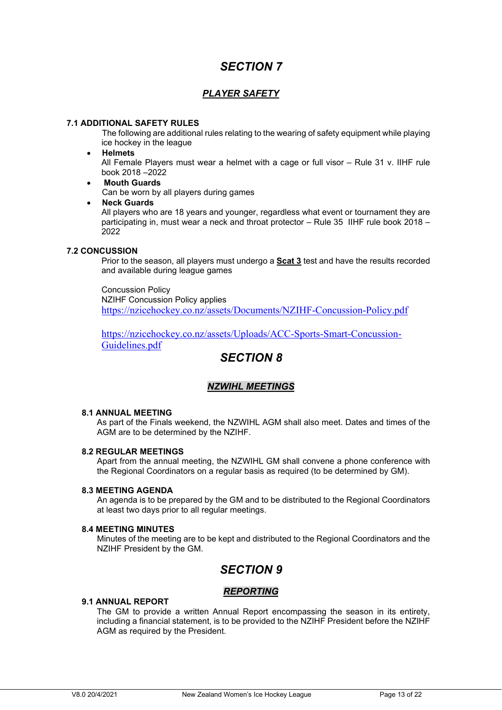### *PLAYER SAFETY*

#### **7.1 ADDITIONAL SAFETY RULES**

The following are additional rules relating to the wearing of safety equipment while playing ice hockey in the league

#### • **Helmets**

All Female Players must wear a helmet with a cage or full visor – Rule 31 v. IIHF rule book 2018 –2022

• **Mouth Guards**

Can be worn by all players during games

• **Neck Guards**

All players who are 18 years and younger, regardless what event or tournament they are participating in, must wear a neck and throat protector – Rule 35 IIHF rule book 2018 – 2022

#### **7.2 CONCUSSION**

Prior to the season, all players must undergo a **Scat 3** test and have the results recorded and available during league games

Concussion Policy NZIHF Concussion Policy applies <https://nzicehockey.co.nz/assets/Documents/NZIHF-Concussion-Policy.pdf>

[https://nzicehockey.co.nz/assets/Uploads/ACC-Sports-Smart-Concussion-](https://nzicehockey.co.nz/assets/Uploads/ACC-Sports-Smart-Concussion-Guidelines.pdf)[Guidelines.pdf](https://nzicehockey.co.nz/assets/Uploads/ACC-Sports-Smart-Concussion-Guidelines.pdf)

### *SECTION 8*

#### *NZWIHL MEETINGS*

#### **8.1 ANNUAL MEETING**

As part of the Finals weekend, the NZWIHL AGM shall also meet. Dates and times of the AGM are to be determined by the NZIHF.

#### **8.2 REGULAR MEETINGS**

Apart from the annual meeting, the NZWIHL GM shall convene a phone conference with the Regional Coordinators on a regular basis as required (to be determined by GM).

#### **8.3 MEETING AGENDA**

An agenda is to be prepared by the GM and to be distributed to the Regional Coordinators at least two days prior to all regular meetings.

#### **8.4 MEETING MINUTES**

Minutes of the meeting are to be kept and distributed to the Regional Coordinators and the NZIHF President by the GM.

### *SECTION 9*

#### *REPORTING*

#### **9.1 ANNUAL REPORT**

The GM to provide a written Annual Report encompassing the season in its entirety, including a financial statement, is to be provided to the NZIHF President before the NZIHF AGM as required by the President.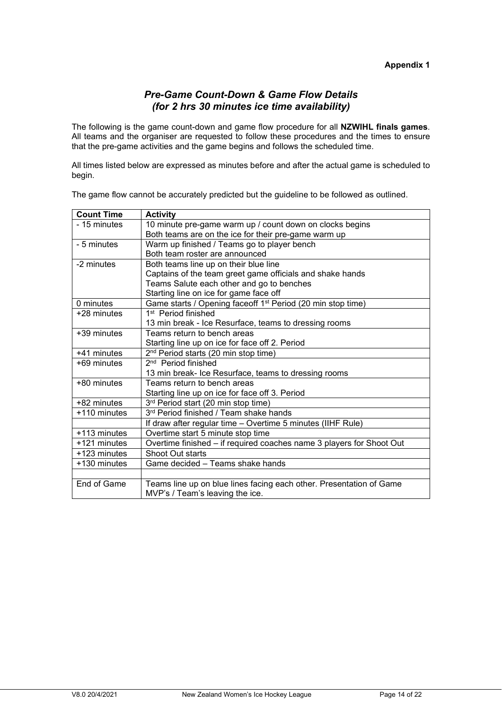#### *Pre-Game Count-Down & Game Flow Details (for 2 hrs 30 minutes ice time availability)*

The following is the game count-down and game flow procedure for all **NZWIHL finals games**. All teams and the organiser are requested to follow these procedures and the times to ensure that the pre-game activities and the game begins and follows the scheduled time.

All times listed below are expressed as minutes before and after the actual game is scheduled to begin.

| <b>Count Time</b> | <b>Activity</b>                                                         |
|-------------------|-------------------------------------------------------------------------|
| - 15 minutes      | 10 minute pre-game warm up / count down on clocks begins                |
|                   | Both teams are on the ice for their pre-game warm up                    |
| - 5 minutes       | Warm up finished / Teams go to player bench                             |
|                   | Both team roster are announced                                          |
| -2 minutes        | Both teams line up on their blue line                                   |
|                   | Captains of the team greet game officials and shake hands               |
|                   | Teams Salute each other and go to benches                               |
|                   | Starting line on ice for game face off                                  |
| 0 minutes         | Game starts / Opening faceoff 1 <sup>st</sup> Period (20 min stop time) |
| +28 minutes       | 1 <sup>st</sup> Period finished                                         |
|                   | 13 min break - Ice Resurface, teams to dressing rooms                   |
| +39 minutes       | Teams return to bench areas                                             |
|                   | Starting line up on ice for face off 2. Period                          |
| +41 minutes       | 2 <sup>nd</sup> Period starts (20 min stop time)                        |
| +69 minutes       | 2 <sup>nd</sup> Period finished                                         |
|                   | 13 min break- Ice Resurface, teams to dressing rooms                    |
| +80 minutes       | Teams return to bench areas                                             |
|                   | Starting line up on ice for face off 3. Period                          |
| +82 minutes       | 3rd Period start (20 min stop time)                                     |
| +110 minutes      | 3rd Period finished / Team shake hands                                  |
|                   | If draw after regular time - Overtime 5 minutes (IIHF Rule)             |
| +113 minutes      | Overtime start 5 minute stop time                                       |
| +121 minutes      | Overtime finished - if required coaches name 3 players for Shoot Out    |
| +123 minutes      | <b>Shoot Out starts</b>                                                 |
| +130 minutes      | Game decided – Teams shake hands                                        |
|                   |                                                                         |
| End of Game       | Teams line up on blue lines facing each other. Presentation of Game     |
|                   | MVP's / Team's leaving the ice.                                         |

The game flow cannot be accurately predicted but the guideline to be followed as outlined.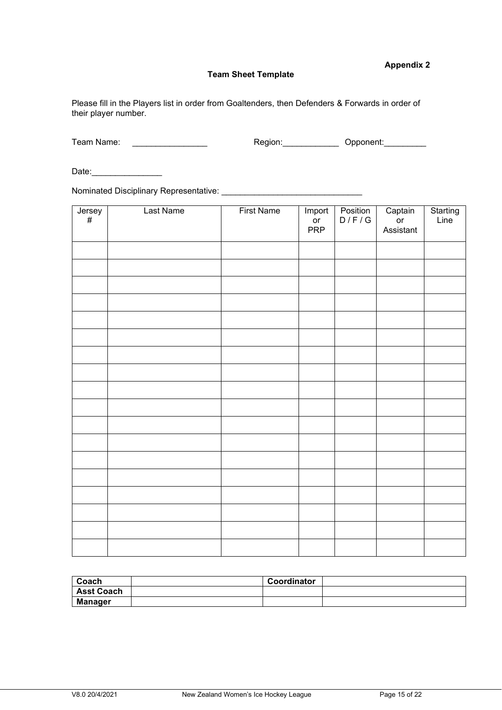#### **Appendix 2**

#### **Team Sheet Template**

Please fill in the Players list in order from Goaltenders, then Defenders & Forwards in order of their player number.

| Team Name: | Reaion: | Opponent: |
|------------|---------|-----------|
|            |         |           |

Date:\_\_\_\_\_\_\_\_\_\_\_\_\_\_\_

Nominated Disciplinary Representative: \_\_\_\_\_\_\_\_\_\_\_\_\_\_\_\_\_\_\_\_\_\_\_\_\_\_\_\_\_\_

| $J$ ersey<br># | Last Name | <b>First Name</b> | Import<br>or<br><b>PRP</b> | Position<br>D/F/G | Captain<br>or<br>Assistant | Starting<br>Line |
|----------------|-----------|-------------------|----------------------------|-------------------|----------------------------|------------------|
|                |           |                   |                            |                   |                            |                  |
|                |           |                   |                            |                   |                            |                  |
|                |           |                   |                            |                   |                            |                  |
|                |           |                   |                            |                   |                            |                  |
|                |           |                   |                            |                   |                            |                  |
|                |           |                   |                            |                   |                            |                  |
|                |           |                   |                            |                   |                            |                  |
|                |           |                   |                            |                   |                            |                  |
|                |           |                   |                            |                   |                            |                  |
|                |           |                   |                            |                   |                            |                  |
|                |           |                   |                            |                   |                            |                  |
|                |           |                   |                            |                   |                            |                  |
|                |           |                   |                            |                   |                            |                  |
|                |           |                   |                            |                   |                            |                  |
|                |           |                   |                            |                   |                            |                  |
|                |           |                   |                            |                   |                            |                  |
|                |           |                   |                            |                   |                            |                  |
|                |           |                   |                            |                   |                            |                  |

| Coach             | Coordinator |  |
|-------------------|-------------|--|
| <b>Asst Coach</b> |             |  |
| Manager           |             |  |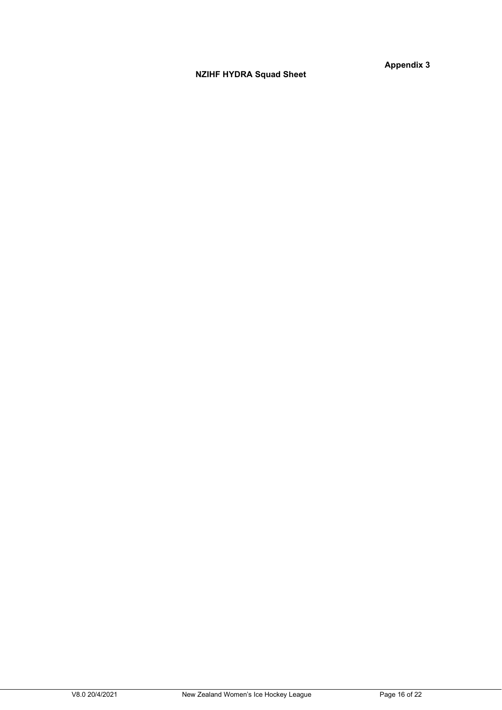**NZIHF HYDRA Squad Sheet**

**Appendix 3**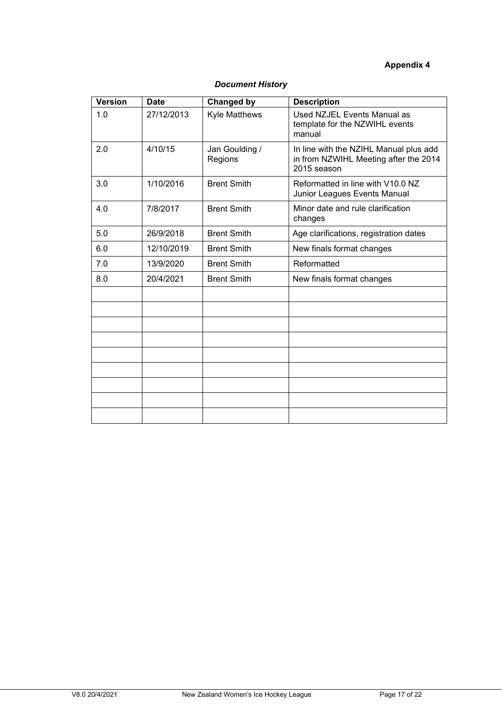### **Appendix 4**

| <b>Version</b> | <b>Date</b> | <b>Changed by</b>         | <b>Description</b>                                                                             |
|----------------|-------------|---------------------------|------------------------------------------------------------------------------------------------|
| 1.0            | 27/12/2013  | <b>Kyle Matthews</b>      | Used NZJEL Events Manual as<br>template for the NZWIHL events<br>manual                        |
| 2.0            | 4/10/15     | Jan Goulding /<br>Regions | In line with the NZIHL Manual plus add<br>in from NZWIHL Meeting after the 2014<br>2015 season |
| 3.0            | 1/10/2016   | <b>Brent Smith</b>        | Reformatted in line with V10.0 NZ<br>Junior Leagues Events Manual                              |
| 4.0            | 7/8/2017    | <b>Brent Smith</b>        | Minor date and rule clarification<br>changes                                                   |
| 5.0            | 26/9/2018   | <b>Brent Smith</b>        | Age clarifications, registration dates                                                         |
| 6.0            | 12/10/2019  | <b>Brent Smith</b>        | New finals format changes                                                                      |
| 7.0            | 13/9/2020   | <b>Brent Smith</b>        | Reformatted                                                                                    |
| 8.0            | 20/4/2021   | <b>Brent Smith</b>        | New finals format changes                                                                      |
|                |             |                           |                                                                                                |
|                |             |                           |                                                                                                |
|                |             |                           |                                                                                                |
|                |             |                           |                                                                                                |
|                |             |                           |                                                                                                |
|                |             |                           |                                                                                                |
|                |             |                           |                                                                                                |
|                |             |                           |                                                                                                |
|                |             |                           |                                                                                                |

### *Document History*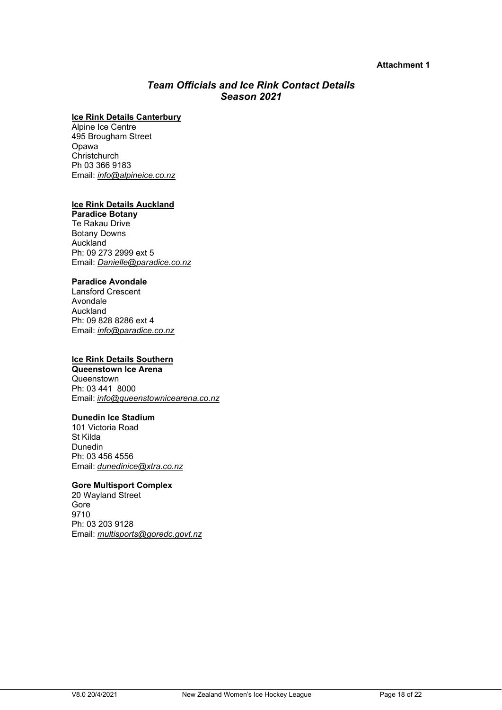#### **Attachment 1**

### *Team Officials and Ice Rink Contact Details Season 2021*

#### **Ice Rink Details Canterbury**

Alpine Ice Centre 495 Brougham Street Opawa **Christchurch** Ph 03 366 9183 Email: *[info@alpineice.co.nz](mailto:info@alpineice.co.nz)*

#### **Ice Rink Details Auckland**

**Paradice Botany** Te Rakau Drive Botany Downs Auckland Ph: 09 273 2999 ext 5 Email: *Danielle@paradice.co.nz*

#### **Paradice Avondale**

Lansford Crescent Avondale Auckland Ph: 09 828 8286 ext 4 Email: *[info@paradice.co.nz](mailto:info@paradice.co.nz)* 

#### **Ice Rink Details Southern**

**Queenstown Ice Arena**  Queenstown Ph: 03 441 8000 Email: *[info@queenstownicearena.co.nz](mailto:info@queenstownicearena.co.nz)*

#### **Dunedin Ice Stadium**

101 Victoria Road St Kilda Dunedin Ph: 03 456 4556 Email: *[dunedinice@xtra.co.nz](mailto:dunedinice@xtra.co.nz)*

#### **Gore Multisport Complex**

20 Wayland Street Gore 9710 Ph: 03 203 9128 Email: *[multisports@goredc.govt.nz](mailto:multisports@goredc.govt.nz)*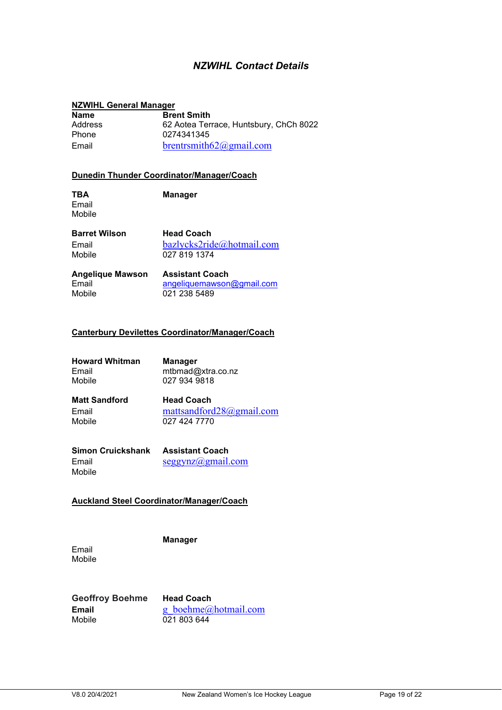### *NZWIHL Contact Details*

#### **NZWIHL General Manager**

| <b>Name</b>    | <b>Brent Smith</b>                     |
|----------------|----------------------------------------|
| <b>Address</b> | 62 Aotea Terrace, Huntsbury, ChCh 8022 |
| <b>Phone</b>   | 0274341345                             |
| Email          | brentrsmith $62$ @gmail.com            |

#### **Dunedin Thunder Coordinator/Manager/Coach**

Email Mobile

**TBA Manager**

**Barret Wilson Head Coach**<br> **Email bazlvcks2rid** Email bazlycks2ride@hotmail.com<br>Mobile 027 819 1374 027 819 1374

| <b>Angelique Mawson</b> | <b>Assistant Coach</b>           |
|-------------------------|----------------------------------|
| Email                   | $an$ qeliquemawson $@$ qmail.com |
| Mobile                  | 021 238 5489                     |

#### **Canterbury Devilettes Coordinator/Manager/Coach**

| <b>Howard Whitman</b> | <b>Manager</b>    |
|-----------------------|-------------------|
| Email                 | mtbmad@xtra.co.nz |
| Mobile                | 027 934 9818      |

**Matt Sandford Head Coach<br>
Email mattsandford** Email mattsandford28@gmail.com<br>Mobile 027 424 7770 Mobile 027 424 7770

| Simon Cruickshank | Assistant Coach             |
|-------------------|-----------------------------|
| Email             | $segsynz(\omega)$ gmail.com |
| Mobile            |                             |

#### **Auckland Steel Coordinator/Manager/Coach**

**Manager**

Email Mobile

**Geoffroy Boehme Head Coach**<br>**Email g boehme@** Mobile 021 803 644

g\_boehme@hotmail.com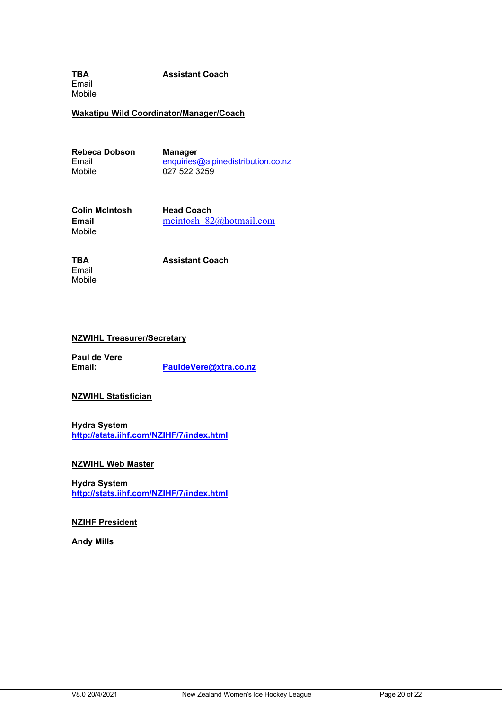**TBA Assistant Coach** Email Mobile

**Wakatipu Wild Coordinator/Manager/Coach**

**Rebeca Dobson Manager<br>
<b>Email Email Email** 

Email enquiries@alpinedistribution.co.nz<br>Mobile 027 522 3259 027 522 3259

**Colin McIntosh Head Coach**<br> **Email Head Coach**<br> **Head Coach**<br> **Head Coach**<br> **Head Coach**<br> **Head Coach** Mobile

**Email** mcintosh\_82@hotmail.com

Email Mobile

**TBA Assistant Coach**

#### **NZWIHL Treasurer/Secretary**

**Paul de Vere Email: [PauldeVere@xtra.co.nz](mailto:PauldeVere@xtra.co.nz)**

**NZWIHL Statistician**

**Hydra System <http://stats.iihf.com/NZIHF/7/index.html>**

**NZWIHL Web Master**

**Hydra System <http://stats.iihf.com/NZIHF/7/index.html>**

**NZIHF President**

**Andy Mills**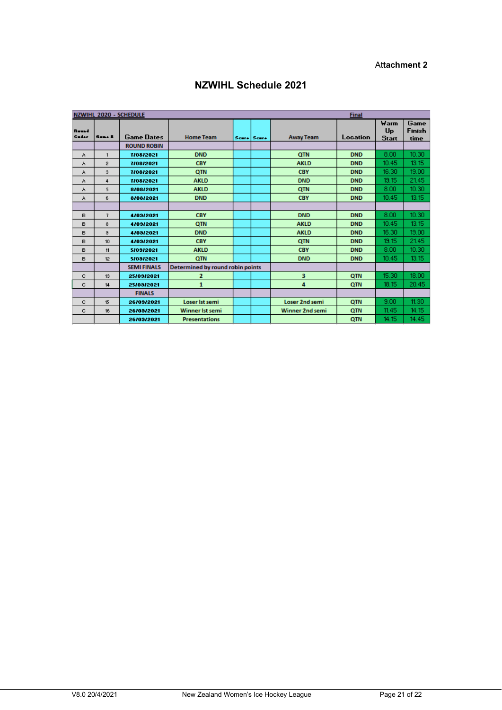#### At**tachment 2**

|                 | NZWIHL 2020 - SCHEDULE<br>Final |                    |                                         |  |             |                        |            |                                   |                               |
|-----------------|---------------------------------|--------------------|-----------------------------------------|--|-------------|------------------------|------------|-----------------------------------|-------------------------------|
| Reseal<br>Cader | $G = 4$                         | <b>Game Dates</b>  | <b>Home Team</b>                        |  | Scare Scare | <b>Away Team</b>       | Location   | Warm<br><b>Up</b><br><b>Start</b> | Game<br><b>Finish</b><br>time |
|                 |                                 | <b>ROUND ROBIN</b> |                                         |  |             |                        |            |                                   |                               |
| ٨               | 1                               | 7/08/2021          | <b>DND</b>                              |  |             | <b>QTN</b>             | <b>DND</b> | 8.00                              | 10.30                         |
| ٨               | $\overline{2}$                  | 7/08/2021          | <b>CBY</b>                              |  |             | <b>AKLD</b>            | <b>DND</b> | 10.45                             | 13.15                         |
| ٨               | 3                               | 7/08/2021          | <b>OTN</b>                              |  |             | <b>CBY</b>             | <b>DND</b> | 16.30                             | 19.00                         |
| ٨               | 4                               | 7/08/2021          | <b>AKLD</b>                             |  |             | <b>DND</b>             | <b>DND</b> | 19.15                             | 21.45                         |
| A               | 5                               | 8/08/2021          | <b>AKLD</b>                             |  |             | <b>QTN</b>             | <b>DND</b> | 8.00                              | 10.30 <sub>1</sub>            |
| A               | 6                               | 8/08/2021          | <b>DND</b>                              |  |             | <b>CBY</b>             | <b>DND</b> | 10.45                             | 13.15                         |
|                 |                                 |                    |                                         |  |             |                        |            |                                   |                               |
| в               | 7                               | 4/03/2021          | <b>CBY</b>                              |  |             | <b>DND</b>             | <b>DND</b> | 8.00                              | 10.30                         |
| в               | 8                               | 4/03/2021          | <b>OTN</b>                              |  |             | <b>AKLD</b>            | <b>DND</b> | 10.45                             | 13.15                         |
| в               | э                               | 4/03/2021          | <b>DND</b>                              |  |             | <b>AKLD</b>            | <b>DND</b> | 16.30                             | 19.00                         |
| в               | 10 <sub>10</sub>                | 4/03/2021          | <b>CBY</b>                              |  |             | <b>QTN</b>             | <b>DND</b> | 19.15                             | 21.45                         |
| в               | 11                              | 5/09/2021          | <b>AKLD</b>                             |  |             | <b>CBY</b>             | <b>DND</b> | 8.00                              | 10.30                         |
| в               | 12                              | 5/09/2021          | <b>QTN</b>                              |  |             | <b>DND</b>             | <b>DND</b> | 10.45                             | 13.15                         |
|                 |                                 | <b>SEMI FINALS</b> | <b>Determined by round robin points</b> |  |             |                        |            |                                   |                               |
| c               | 13                              | 25/09/2021         | 2                                       |  |             | 3                      | QTN        | 15.30                             | 18.00                         |
| c               | 14                              | 25/09/2021         | 1                                       |  |             | 4                      | <b>QTN</b> | 18.15                             | 20.45                         |
|                 |                                 | <b>FINALS</b>      |                                         |  |             |                        |            |                                   |                               |
| с               | 15                              | 26/03/2021         | Loser Ist semi                          |  |             | Loser 2nd semi         | QTN        | 9.00                              | 11.30                         |
| c               | 16                              | 26/03/2021         | Winner Ist semi                         |  |             | <b>Winner 2nd semi</b> | <b>QTN</b> | 11.45                             | 14.15                         |
|                 |                                 | 26/09/2021         | <b>Presentations</b>                    |  |             |                        | <b>OTN</b> | 14.15                             | 14.45                         |

#### **NZWIHL Schedule 2021**